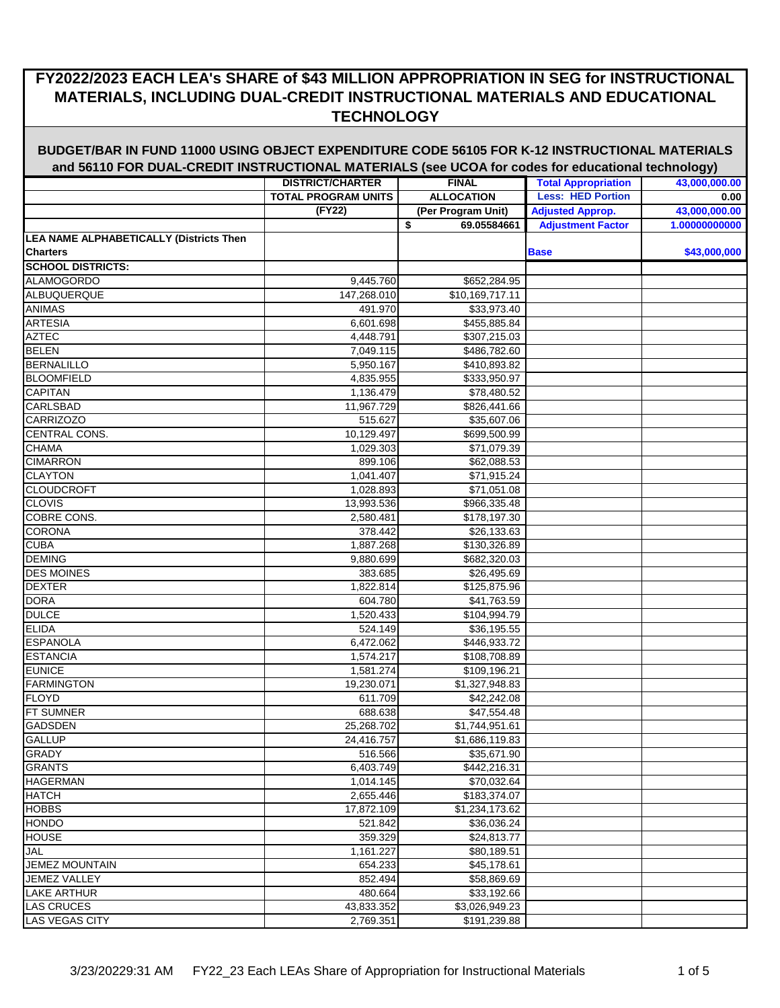|                                         | <b>DISTRICT/CHARTER</b>    | <b>FINAL</b>                | <b>Total Appropriation</b> | --- 977<br>43,000,000.00 |
|-----------------------------------------|----------------------------|-----------------------------|----------------------------|--------------------------|
|                                         | <b>TOTAL PROGRAM UNITS</b> | <b>ALLOCATION</b>           | <b>Less: HED Portion</b>   | 0.00                     |
|                                         | (FY22)                     | (Per Program Unit)          | <b>Adjusted Approp.</b>    | 43,000,000.00            |
|                                         |                            | \$<br>69.05584661           | <b>Adjustment Factor</b>   | 1.00000000000            |
| LEA NAME ALPHABETICALLY (Districts Then |                            |                             |                            |                          |
| <b>Charters</b>                         |                            |                             | <b>Base</b>                | \$43,000,000             |
| <b>SCHOOL DISTRICTS:</b>                |                            |                             |                            |                          |
| <b>ALAMOGORDO</b>                       | 9,445.760                  | \$652,284.95                |                            |                          |
| ALBUQUERQUE                             | 147,268.010                | $\overline{$10,169,717.11}$ |                            |                          |
| <b>ANIMAS</b>                           | 491.970                    | \$33,973.40                 |                            |                          |
| <b>ARTESIA</b>                          | 6,601.698                  | \$455,885.84                |                            |                          |
| <b>AZTEC</b>                            | 4,448.791                  | \$307,215.03                |                            |                          |
| <b>BELEN</b>                            | 7,049.115                  | \$486,782.60                |                            |                          |
| <b>BERNALILLO</b>                       | 5,950.167                  | \$410,893.82                |                            |                          |
| <b>BLOOMFIELD</b>                       | 4,835.955                  | \$333,950.97                |                            |                          |
| <b>CAPITAN</b>                          | 1,136.479                  | \$78,480.52                 |                            |                          |
| <b>CARLSBAD</b>                         | 11,967.729                 | \$826,441.66                |                            |                          |
| <b>CARRIZOZO</b>                        | 515.627                    | \$35,607.06                 |                            |                          |
| CENTRAL CONS.                           | 10,129.497                 | \$699,500.99                |                            |                          |
| <b>CHAMA</b>                            | 1,029.303                  | \$71,079.39                 |                            |                          |
| <b>CIMARRON</b>                         | 899.106                    | \$62,088.53                 |                            |                          |
| <b>CLAYTON</b>                          | 1,041.407                  | \$71,915.24                 |                            |                          |
| <b>CLOUDCROFT</b>                       | 1,028.893                  | \$71,051.08                 |                            |                          |
| <b>CLOVIS</b>                           | 13,993.536                 | \$966,335.48                |                            |                          |
| <b>COBRE CONS.</b>                      | 2,580.481                  | \$178,197.30                |                            |                          |
| <b>CORONA</b>                           | 378.442                    | \$26,133.63                 |                            |                          |
| <b>CUBA</b>                             | 1,887.268                  | \$130,326.89                |                            |                          |
| <b>DEMING</b>                           | 9,880.699                  | \$682,320.03                |                            |                          |
| <b>DES MOINES</b>                       | 383.685                    | \$26,495.69                 |                            |                          |
| <b>DEXTER</b>                           | 1,822.814                  | \$125,875.96                |                            |                          |
| DORA                                    | 604.780                    | \$41,763.59                 |                            |                          |
| <b>DULCE</b>                            | 1,520.433                  | \$104,994.79                |                            |                          |
| <b>ELIDA</b>                            | 524.149                    | \$36,195.55                 |                            |                          |
| <b>ESPANOLA</b>                         | 6,472.062                  | \$446,933.72                |                            |                          |
| <b>ESTANCIA</b>                         | 1,574.217                  | \$108,708.89                |                            |                          |
| <b>EUNICE</b>                           | 1,581.274                  | \$109,196.21                |                            |                          |
| <b>FARMINGTON</b>                       | 19,230.071                 | \$1,327,948.83              |                            |                          |
| <b>FLOYD</b>                            | 611.709                    | \$42,242.08                 |                            |                          |
| FT SUMNER                               | 688.638                    | \$47,554.48                 |                            |                          |
| <b>GADSDEN</b>                          | 25,268.702                 | \$1,744,951.61              |                            |                          |
| <b>GALLUP</b>                           | 24,416.757                 | \$1,686,119.83              |                            |                          |
| <b>GRADY</b>                            | 516.566                    | \$35,671.90                 |                            |                          |
| <b>GRANTS</b>                           | 6,403.749                  | \$442,216.31                |                            |                          |
| <b>HAGERMAN</b>                         | 1,014.145                  | \$70,032.64                 |                            |                          |
| <b>HATCH</b>                            | 2,655.446                  | \$183,374.07                |                            |                          |
| <b>HOBBS</b>                            | 17,872.109                 | \$1,234,173.62              |                            |                          |
| <b>HONDO</b>                            | 521.842                    | \$36,036.24                 |                            |                          |
| <b>HOUSE</b>                            | 359.329                    | \$24,813.77                 |                            |                          |
| <b>JAL</b>                              | 1,161.227                  | \$80,189.51                 |                            |                          |
| <b>JEMEZ MOUNTAIN</b>                   | 654.233                    | \$45,178.61                 |                            |                          |
| <b>JEMEZ VALLEY</b>                     | 852.494                    | \$58,869.69                 |                            |                          |
| LAKE ARTHUR                             | 480.664                    | \$33,192.66                 |                            |                          |
| LAS CRUCES                              | 43,833.352                 | \$3,026,949.23              |                            |                          |
| LAS VEGAS CITY                          | 2,769.351                  | \$191,239.88                |                            |                          |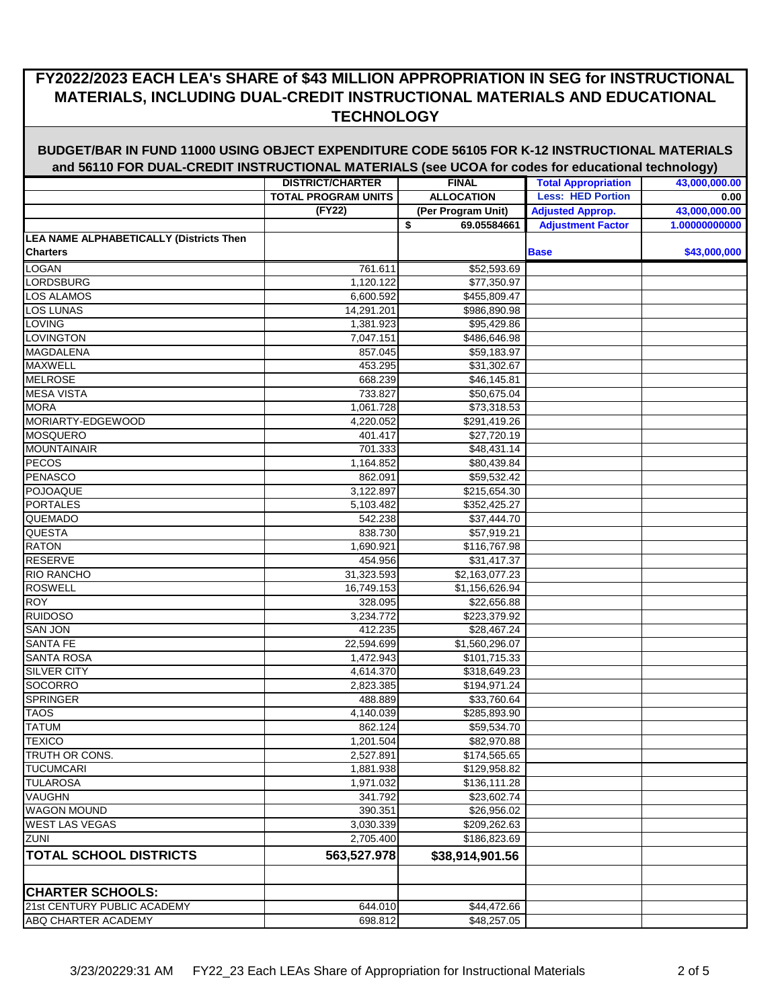|                                         | <b>DISTRICT/CHARTER</b>    | <b>FINAL</b>       | <b>Total Appropriation</b> | <u>JJI</u><br>43,000,000.00 |
|-----------------------------------------|----------------------------|--------------------|----------------------------|-----------------------------|
|                                         | <b>TOTAL PROGRAM UNITS</b> | <b>ALLOCATION</b>  | <b>Less: HED Portion</b>   | 0.00                        |
|                                         | (FY22)                     | (Per Program Unit) | <b>Adjusted Approp.</b>    | 43,000,000.00               |
|                                         |                            | \$<br>69.05584661  | <b>Adjustment Factor</b>   | 1.00000000000               |
| LEA NAME ALPHABETICALLY (Districts Then |                            |                    |                            |                             |
| <b>Charters</b>                         |                            |                    | <b>Base</b>                | \$43,000,000                |
| LOGAN                                   | 761.611                    | \$52,593.69        |                            |                             |
| <b>LORDSBURG</b>                        | 1,120.122                  | \$77,350.97        |                            |                             |
| <b>LOS ALAMOS</b>                       | 6,600.592                  | \$455,809.47       |                            |                             |
| LOS LUNAS                               | 14,291.201                 | \$986,890.98       |                            |                             |
| LOVING                                  | 1,381.923                  | \$95,429.86        |                            |                             |
| LOVINGTON                               | 7,047.151                  | \$486,646.98       |                            |                             |
| <b>MAGDALENA</b>                        | 857.045                    | \$59,183.97        |                            |                             |
| MAXWELL                                 | 453.295                    | \$31,302.67        |                            |                             |
| <b>MELROSE</b>                          | 668.239                    | \$46,145.81        |                            |                             |
| <b>MESA VISTA</b>                       | 733.827                    | \$50,675.04        |                            |                             |
| <b>MORA</b>                             | 1,061.728                  | \$73,318.53        |                            |                             |
| MORIARTY-EDGEWOOD                       | 4,220.052                  | \$291,419.26       |                            |                             |
| <b>MOSQUERO</b>                         | 401.417                    | \$27,720.19        |                            |                             |
| <b>MOUNTAINAIR</b>                      | 701.333                    | \$48,431.14        |                            |                             |
| <b>PECOS</b>                            | 1,164.852                  | \$80,439.84        |                            |                             |
| <b>PENASCO</b>                          | 862.091                    | \$59,532.42        |                            |                             |
| <b>POJOAQUE</b>                         | 3,122.897                  | \$215,654.30       |                            |                             |
| <b>PORTALES</b>                         | 5,103.482                  | \$352,425.27       |                            |                             |
| QUEMADO                                 | 542.238                    | \$37,444.70        |                            |                             |
| <b>QUESTA</b>                           | 838.730                    | \$57,919.21        |                            |                             |
| <b>RATON</b>                            | 1,690.921                  | \$116,767.98       |                            |                             |
| <b>RESERVE</b>                          | 454.956                    | \$31,417.37        |                            |                             |
| <b>RIO RANCHO</b>                       | 31,323.593                 | \$2,163,077.23     |                            |                             |
| <b>ROSWELL</b>                          | 16,749.153                 | \$1,156,626.94     |                            |                             |
| <b>ROY</b>                              | 328.095                    | \$22,656.88        |                            |                             |
| <b>RUIDOSO</b>                          | 3,234.772                  | \$223,379.92       |                            |                             |
| <b>SAN JON</b>                          | 412.235                    | \$28,467.24        |                            |                             |
| <b>SANTA FE</b>                         | 22,594.699                 | \$1,560,296.07     |                            |                             |
| <b>SANTA ROSA</b>                       | 1,472.943                  | \$101,715.33       |                            |                             |
| <b>SILVER CITY</b>                      | 4,614.370                  | \$318,649.23       |                            |                             |
| <b>SOCORRO</b>                          | 2,823.385                  | \$194,971.24       |                            |                             |
| <b>SPRINGER</b>                         | 488.889                    | \$33,760.64        |                            |                             |
| <b>TAOS</b>                             | 4,140.039                  | \$285,893.90       |                            |                             |
| <b>TATUM</b>                            | 862.124                    | \$59,534.70        |                            |                             |
| <b>TEXICO</b>                           | 1,201.504                  | \$82,970.88        |                            |                             |
| TRUTH OR CONS.                          | 2,527.891                  | \$174,565.65       |                            |                             |
| <b>TUCUMCARI</b>                        | 1,881.938                  | \$129,958.82       |                            |                             |
| <b>TULAROSA</b>                         | 1,971.032                  | \$136,111.28       |                            |                             |
| VAUGHN                                  | 341.792                    | \$23,602.74        |                            |                             |
| <b>WAGON MOUND</b>                      | 390.351                    | \$26,956.02        |                            |                             |
| <b>WEST LAS VEGAS</b>                   | 3,030.339                  | \$209,262.63       |                            |                             |
| ZUNI                                    | 2,705.400                  | \$186,823.69       |                            |                             |
| <b>TOTAL SCHOOL DISTRICTS</b>           | 563,527.978                | \$38,914,901.56    |                            |                             |
|                                         |                            |                    |                            |                             |
|                                         |                            |                    |                            |                             |
| <b>CHARTER SCHOOLS:</b>                 |                            |                    |                            |                             |
| 21st CENTURY PUBLIC ACADEMY             | 644.010                    | \$44,472.66        |                            |                             |
| ABQ CHARTER ACADEMY                     | 698.812                    | \$48,257.05        |                            |                             |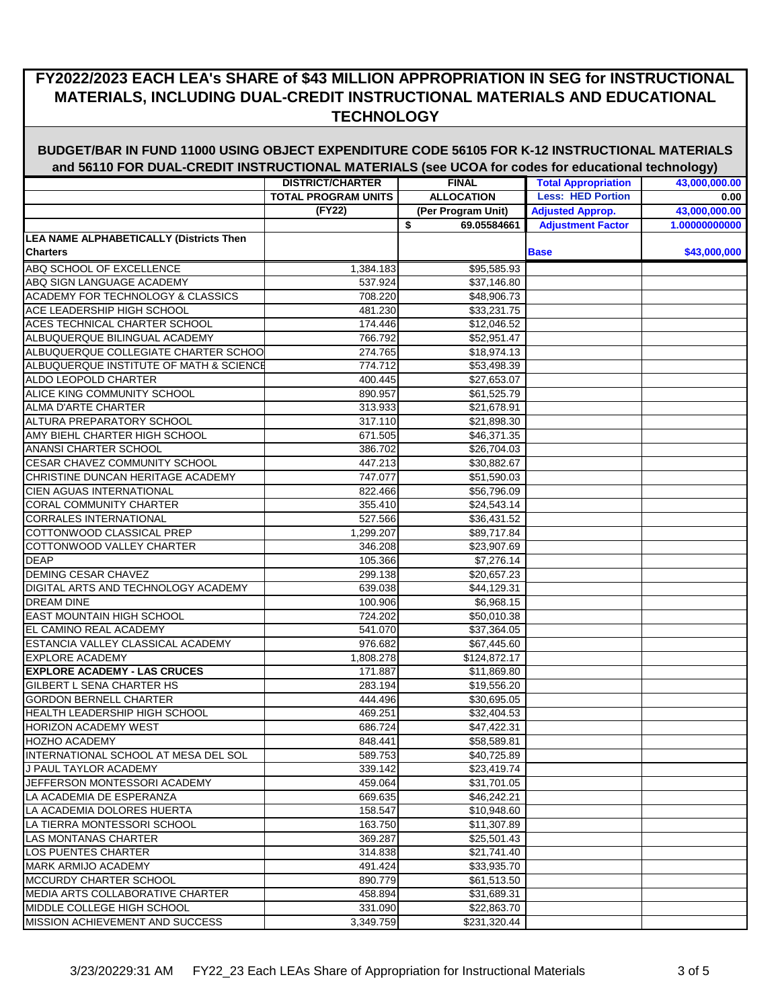|                                                | <b>DISTRICT/CHARTER</b>    | <b>FINAL</b>       | <b>Total Appropriation</b> | <u>. 977</u><br>43,000,000.00 |
|------------------------------------------------|----------------------------|--------------------|----------------------------|-------------------------------|
|                                                | <b>TOTAL PROGRAM UNITS</b> | <b>ALLOCATION</b>  | <b>Less: HED Portion</b>   | 0.00                          |
|                                                | (FY22)                     | (Per Program Unit) | <b>Adjusted Approp.</b>    | 43,000,000.00                 |
|                                                |                            | \$<br>69.05584661  | <b>Adjustment Factor</b>   | 1.00000000000                 |
| <b>LEA NAME ALPHABETICALLY (Districts Then</b> |                            |                    |                            |                               |
| <b>Charters</b>                                |                            |                    | <b>Base</b>                | \$43,000,000                  |
| ABQ SCHOOL OF EXCELLENCE                       | 1,384.183                  | \$95,585.93        |                            |                               |
| ABQ SIGN LANGUAGE ACADEMY                      | 537.924                    | \$37,146.80        |                            |                               |
| ACADEMY FOR TECHNOLOGY & CLASSICS              | 708.220                    | \$48,906.73        |                            |                               |
| ACE LEADERSHIP HIGH SCHOOL                     | 481.230                    | \$33,231.75        |                            |                               |
| ACES TECHNICAL CHARTER SCHOOL                  | 174.446                    | \$12,046.52        |                            |                               |
| ALBUQUERQUE BILINGUAL ACADEMY                  | 766.792                    | \$52,951.47        |                            |                               |
| ALBUQUERQUE COLLEGIATE CHARTER SCHOO           | 274.765                    | \$18,974.13        |                            |                               |
| ALBUQUERQUE INSTITUTE OF MATH & SCIENCE        | 774.712                    | \$53,498.39        |                            |                               |
| ALDO LEOPOLD CHARTER                           | 400.445                    | \$27,653.07        |                            |                               |
| ALICE KING COMMUNITY SCHOOL                    | 890.957                    | \$61,525.79        |                            |                               |
| <b>ALMA D'ARTE CHARTER</b>                     | 313.933                    | \$21,678.91        |                            |                               |
| ALTURA PREPARATORY SCHOOL                      | 317.110                    | \$21,898.30        |                            |                               |
| AMY BIEHL CHARTER HIGH SCHOOL                  | 671.505                    | \$46,371.35        |                            |                               |
| <b>ANANSI CHARTER SCHOOL</b>                   | 386.702                    | \$26,704.03        |                            |                               |
| CESAR CHAVEZ COMMUNITY SCHOOL                  | 447.213                    | \$30,882.67        |                            |                               |
| CHRISTINE DUNCAN HERITAGE ACADEMY              | 747.077                    | \$51,590.03        |                            |                               |
| <b>CIEN AGUAS INTERNATIONAL</b>                | 822.466                    | \$56,796.09        |                            |                               |
| <b>CORAL COMMUNITY CHARTER</b>                 | 355.410                    | \$24,543.14        |                            |                               |
| <b>CORRALES INTERNATIONAL</b>                  | 527.566                    | \$36,431.52        |                            |                               |
| COTTONWOOD CLASSICAL PREP                      | 1,299.207                  | \$89,717.84        |                            |                               |
| COTTONWOOD VALLEY CHARTER                      | 346.208                    | \$23,907.69        |                            |                               |
| <b>DEAP</b>                                    | 105.366                    | \$7,276.14         |                            |                               |
| <b>DEMING CESAR CHAVEZ</b>                     | 299.138                    | \$20,657.23        |                            |                               |
| DIGITAL ARTS AND TECHNOLOGY ACADEMY            | 639.038                    | \$44,129.31        |                            |                               |
| <b>DREAM DINE</b>                              | 100.906                    | \$6,968.15         |                            |                               |
| <b>EAST MOUNTAIN HIGH SCHOOL</b>               | 724.202                    | \$50,010.38        |                            |                               |
| EL CAMINO REAL ACADEMY                         | 541.070                    | \$37,364.05        |                            |                               |
| ESTANCIA VALLEY CLASSICAL ACADEMY              | 976.682                    | \$67,445.60        |                            |                               |
| <b>EXPLORE ACADEMY</b>                         | 1,808.278                  | \$124,872.17       |                            |                               |
| <b>IEXPLORE ACADEMY - LAS CRUCES</b>           | 171.887                    | \$11,869.80        |                            |                               |
| GILBERT L SENA CHARTER HS                      | 283.194                    | \$19,556.20        |                            |                               |
| <b>GORDON BERNELL CHARTER</b>                  | 444.496                    | \$30,695.05        |                            |                               |
| <b>HEALTH LEADERSHIP HIGH SCHOOL</b>           | 469.251                    | \$32,404.53        |                            |                               |
| <b>HORIZON ACADEMY WEST</b>                    | 686.724                    | \$47,422.31        |                            |                               |
| <b>HOZHO ACADEMY</b>                           | 848.441                    | \$58,589.81        |                            |                               |
| INTERNATIONAL SCHOOL AT MESA DEL SOL           | 589.753                    | \$40,725.89        |                            |                               |
| J PAUL TAYLOR ACADEMY                          | 339.142                    | \$23,419.74        |                            |                               |
| JEFFERSON MONTESSORI ACADEMY                   | 459.064                    | \$31,701.05        |                            |                               |
| LA ACADEMIA DE ESPERANZA                       | 669.635                    | \$46,242.21        |                            |                               |
| LA ACADEMIA DOLORES HUERTA                     | 158.547                    | \$10,948.60        |                            |                               |
| LA TIERRA MONTESSORI SCHOOL                    | 163.750                    | \$11,307.89        |                            |                               |
| <b>LAS MONTANAS CHARTER</b>                    | 369.287                    | \$25,501.43        |                            |                               |
| LOS PUENTES CHARTER                            | 314.838                    | \$21,741.40        |                            |                               |
| <b>MARK ARMIJO ACADEMY</b>                     | 491.424                    | \$33,935.70        |                            |                               |
| MCCURDY CHARTER SCHOOL                         | 890.779                    | \$61,513.50        |                            |                               |
| MEDIA ARTS COLLABORATIVE CHARTER               | 458.894                    | \$31,689.31        |                            |                               |
| MIDDLE COLLEGE HIGH SCHOOL                     | 331.090                    | \$22,863.70        |                            |                               |
| <b>MISSION ACHIEVEMENT AND SUCCESS</b>         | 3,349.759                  | \$231,320.44       |                            |                               |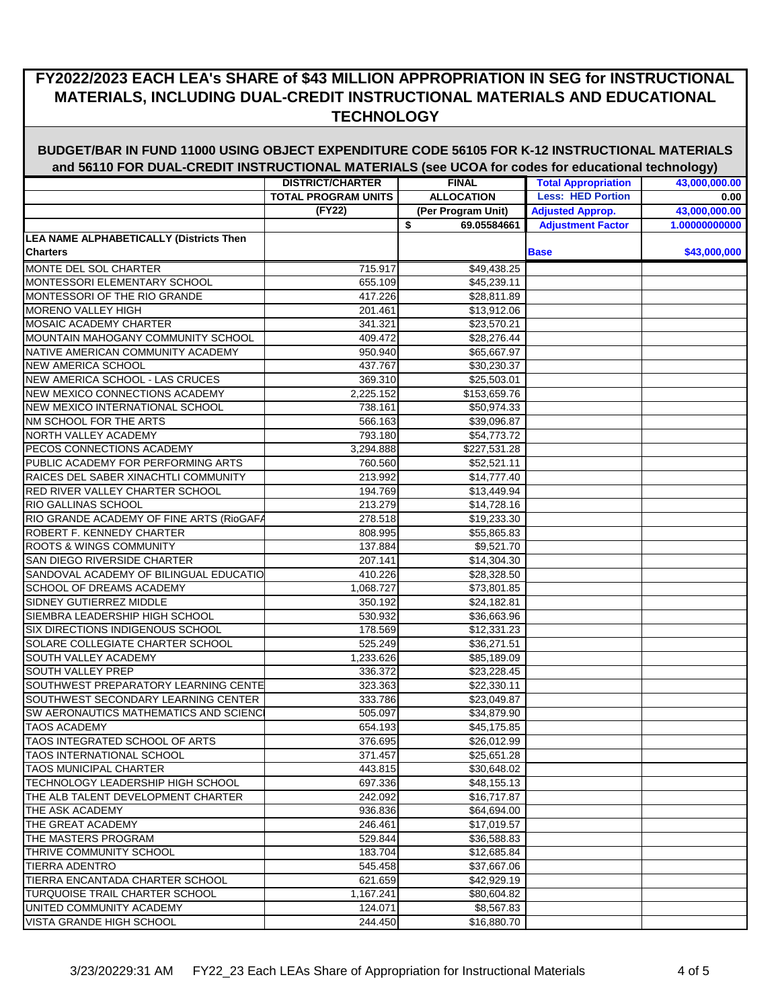|                                                | <b>DISTRICT/CHARTER</b>    | <b>FINAL</b>       | <b>Total Appropriation</b> | ,,,,,,,,,,<br>43,000,000.00 |
|------------------------------------------------|----------------------------|--------------------|----------------------------|-----------------------------|
|                                                | <b>TOTAL PROGRAM UNITS</b> | <b>ALLOCATION</b>  | <b>Less: HED Portion</b>   | 0.00                        |
|                                                | (FY22)                     | (Per Program Unit) | <b>Adjusted Approp.</b>    | 43,000,000.00               |
|                                                |                            | 69.05584661<br>\$  | <b>Adjustment Factor</b>   | 1.00000000000               |
| <b>LEA NAME ALPHABETICALLY (Districts Then</b> |                            |                    |                            |                             |
| <b>Charters</b>                                |                            |                    | <b>Base</b>                | \$43,000,000                |
| MONTE DEL SOL CHARTER                          | 715.917                    | \$49,438.25        |                            |                             |
| MONTESSORI ELEMENTARY SCHOOL                   | 655.109                    | \$45,239.11        |                            |                             |
| MONTESSORI OF THE RIO GRANDE                   | 417.226                    | \$28,811.89        |                            |                             |
| <b>MORENO VALLEY HIGH</b>                      | 201.461                    | \$13,912.06        |                            |                             |
| <b>MOSAIC ACADEMY CHARTER</b>                  | 341.321                    | \$23,570.21        |                            |                             |
| MOUNTAIN MAHOGANY COMMUNITY SCHOOL             | 409.472                    | \$28,276.44        |                            |                             |
| NATIVE AMERICAN COMMUNITY ACADEMY              | 950.940                    | \$65,667.97        |                            |                             |
| <b>NEW AMERICA SCHOOL</b>                      | 437.767                    | \$30,230.37        |                            |                             |
| NEW AMERICA SCHOOL - LAS CRUCES                | 369.310                    | \$25,503.01        |                            |                             |
| NEW MEXICO CONNECTIONS ACADEMY                 | 2,225.152                  | \$153,659.76       |                            |                             |
| <b>NEW MEXICO INTERNATIONAL SCHOOL</b>         | 738.161                    | \$50,974.33        |                            |                             |
| NM SCHOOL FOR THE ARTS                         | 566.163                    | \$39,096.87        |                            |                             |
| <b>NORTH VALLEY ACADEMY</b>                    | 793.180                    | \$54,773.72        |                            |                             |
| PECOS CONNECTIONS ACADEMY                      | 3,294.888                  | \$227,531.28       |                            |                             |
| PUBLIC ACADEMY FOR PERFORMING ARTS             | 760.560                    | \$52,521.11        |                            |                             |
| RAICES DEL SABER XINACHTLI COMMUNITY           | 213.992                    | \$14,777.40        |                            |                             |
| RED RIVER VALLEY CHARTER SCHOOL                | 194.769                    | \$13,449.94        |                            |                             |
| <b>RIO GALLINAS SCHOOL</b>                     | 213.279                    | \$14,728.16        |                            |                             |
| RIO GRANDE ACADEMY OF FINE ARTS (RioGAFA       | 278.518                    | \$19,233.30        |                            |                             |
| <b>ROBERT F. KENNEDY CHARTER</b>               | 808.995                    | \$55,865.83        |                            |                             |
| ROOTS & WINGS COMMUNITY                        | 137.884                    | \$9,521.70         |                            |                             |
| SAN DIEGO RIVERSIDE CHARTER                    | 207.141                    | \$14,304.30        |                            |                             |
| SANDOVAL ACADEMY OF BILINGUAL EDUCATIO         | 410.226                    | \$28,328.50        |                            |                             |
| <b>SCHOOL OF DREAMS ACADEMY</b>                | 1,068.727                  | \$73,801.85        |                            |                             |
| SIDNEY GUTIERREZ MIDDLE                        | 350.192                    | \$24,182.81        |                            |                             |
| SIEMBRA LEADERSHIP HIGH SCHOOL                 | 530.932                    | \$36,663.96        |                            |                             |
| SIX DIRECTIONS INDIGENOUS SCHOOL               | 178.569                    | \$12,331.23        |                            |                             |
| SOLARE COLLEGIATE CHARTER SCHOOL               | 525.249                    | \$36,271.51        |                            |                             |
| <b>SOUTH VALLEY ACADEMY</b>                    | 1,233.626                  | \$85,189.09        |                            |                             |
| <b>SOUTH VALLEY PREP</b>                       | 336.372                    | \$23,228.45        |                            |                             |
| SOUTHWEST PREPARATORY LEARNING CENTE           | 323.363                    | \$22,330.11        |                            |                             |
| SOUTHWEST SECONDARY LEARNING CENTER            | 333.786                    | \$23,049.87        |                            |                             |
| SW AERONAUTICS MATHEMATICS AND SCIENC          | 505.097                    | \$34,879.90        |                            |                             |
| <b>TAOS ACADEMY</b>                            | 654.193                    | \$45,175.85        |                            |                             |
| TAOS INTEGRATED SCHOOL OF ARTS                 | 376.695                    | \$26,012.99        |                            |                             |
| <b>TAOS INTERNATIONAL SCHOOL</b>               | 371.457                    | \$25,651.28        |                            |                             |
| TAOS MUNICIPAL CHARTER                         | 443.815                    | \$30,648.02        |                            |                             |
| TECHNOLOGY LEADERSHIP HIGH SCHOOL              | 697.336                    | \$48,155.13        |                            |                             |
| THE ALB TALENT DEVELOPMENT CHARTER             | 242.092                    | \$16,717.87        |                            |                             |
| THE ASK ACADEMY                                | 936.836                    | \$64,694.00        |                            |                             |
| THE GREAT ACADEMY                              | 246.461                    | \$17,019.57        |                            |                             |
| THE MASTERS PROGRAM                            | 529.844                    | \$36,588.83        |                            |                             |
| THRIVE COMMUNITY SCHOOL                        | 183.704                    | \$12,685.84        |                            |                             |
| <b>TIERRA ADENTRO</b>                          | 545.458                    | \$37,667.06        |                            |                             |
| TIERRA ENCANTADA CHARTER SCHOOL                | 621.659                    | \$42,929.19        |                            |                             |
| <b>TURQUOISE TRAIL CHARTER SCHOOL</b>          | 1,167.241                  | \$80,604.82        |                            |                             |
| UNITED COMMUNITY ACADEMY                       | 124.071                    | \$8,567.83         |                            |                             |
| VISTA GRANDE HIGH SCHOOL                       | 244.450                    | \$16,880.70        |                            |                             |